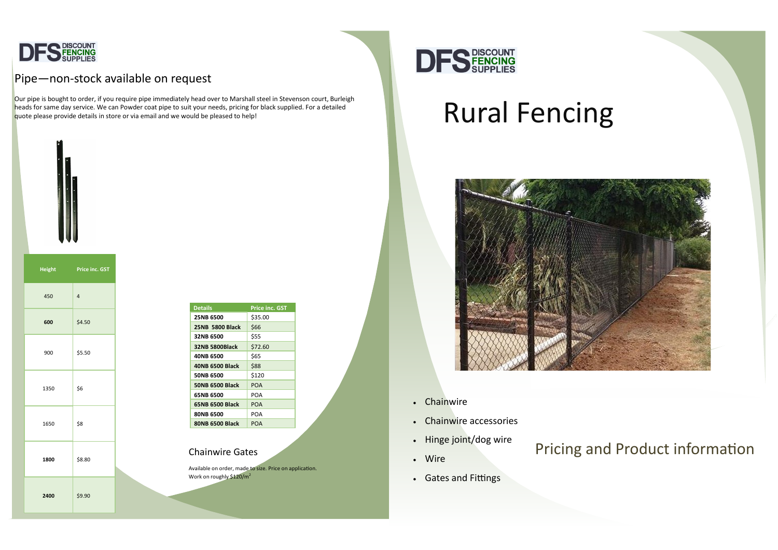

## Pipe-non-stock available on request

# Rural Fencing



# Pricing and Product information

- Chainwire
- Chainwire accessories
- Hinge joint/dog wire
- Wire

• Gates and Fittings



Our pipe is bought to order, if you require pipe immediately head over to Marshall steel in Stevenson court, Burleigh heads for same day service. We can Powder coat pipe to suit your needs, pricing for black supplied. For a detailed quote please provide details in store or via email and we would be pleased to help!



| <b>Details</b>         | <b>Price inc. GST</b> |
|------------------------|-----------------------|
| <b>25NB 6500</b>       | \$35.00               |
| <b>25NB 5800 Black</b> | \$66                  |
| 32NB 6500              | \$55                  |
| 32NB 5800Black         | \$72.60               |
| 40NB 6500              | \$65                  |
| <b>40NB 6500 Black</b> | \$88                  |
| 50NB 6500              | \$120                 |
| <b>50NB 6500 Black</b> | POA                   |
| 65NB 6500              | POA                   |
| <b>65NB 6500 Black</b> | <b>POA</b>            |
| 80NB 6500              | POA                   |
| 80NB 6500 Black        | POA                   |
|                        |                       |

**Height Price inc. GST** 450 4 **600** \$4.50  $900$ 

**2400** \$9.90

Available on order, made to size. Price on application. Work on roughly \$120/m<sup>2</sup>

| 450  | $\sqrt{4}$ |  |
|------|------------|--|
| 600  | \$4.50     |  |
| 900  | \$5.50     |  |
| 1350 | \$6        |  |
| 1650 | \$8        |  |
| 1800 | \$8.80     |  |
|      |            |  |

### Chainwire Gates